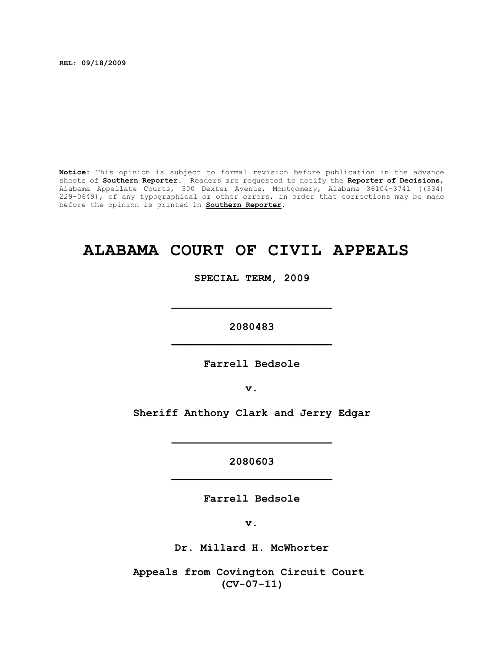**REL: 09/18/2009**

**Notice:** This opinion is subject to formal revision before publication in the advance sheets of **Southern Reporter**. Readers are requested to notify the **Reporter of Decisions**, Alabama Appellate Courts, 300 Dexter Avenue, Montgomery, Alabama 36104-3741 ((334) 229-0649), of any typographical or other errors, in order that corrections may be made before the opinion is printed in **Southern Reporter**.

# **ALABAMA COURT OF CIVIL APPEALS**

**SPECIAL TERM, 2009**

**2080483 \_\_\_\_\_\_\_\_\_\_\_\_\_\_\_\_\_\_\_\_\_\_\_\_\_**

**\_\_\_\_\_\_\_\_\_\_\_\_\_\_\_\_\_\_\_\_\_\_\_\_\_**

**Farrell Bedsole**

**v.**

**Sheriff Anthony Clark and Jerry Edgar**

**2080603 \_\_\_\_\_\_\_\_\_\_\_\_\_\_\_\_\_\_\_\_\_\_\_\_\_**

**\_\_\_\_\_\_\_\_\_\_\_\_\_\_\_\_\_\_\_\_\_\_\_\_\_**

**Farrell Bedsole**

**v.**

**Dr. Millard H. McWhorter**

**Appeals from Covington Circuit Court (CV-07-11)**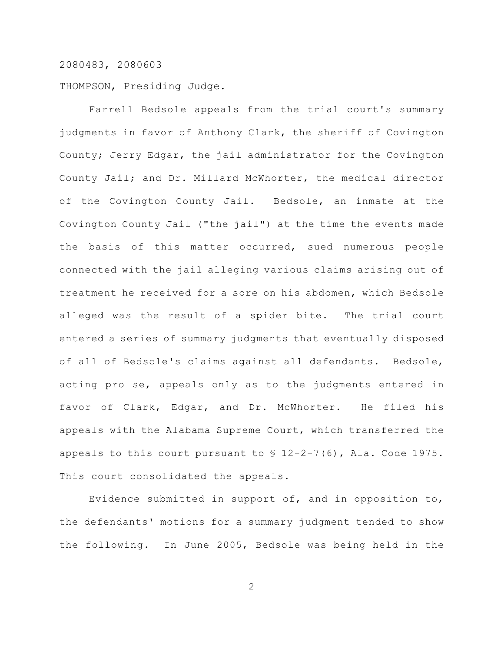THOMPSON, Presiding Judge.

Farrell Bedsole appeals from the trial court's summary judgments in favor of Anthony Clark, the sheriff of Covington County; Jerry Edgar, the jail administrator for the Covington County Jail; and Dr. Millard McWhorter, the medical director of the Covington County Jail. Bedsole, an inmate at the Covington County Jail ("the jail") at the time the events made the basis of this matter occurred, sued numerous people connected with the jail alleging various claims arising out of treatment he received for a sore on his abdomen, which Bedsole alleged was the result of a spider bite. The trial court entered a series of summary judgments that eventually disposed of all of Bedsole's claims against all defendants. Bedsole, acting pro se, appeals only as to the judgments entered in favor of Clark, Edgar, and Dr. McWhorter. He filed his appeals with the Alabama Supreme Court, which transferred the appeals to this court pursuant to § 12-2-7(6), Ala. Code 1975. This court consolidated the appeals.

Evidence submitted in support of, and in opposition to, the defendants' motions for a summary judgment tended to show the following. In June 2005, Bedsole was being held in the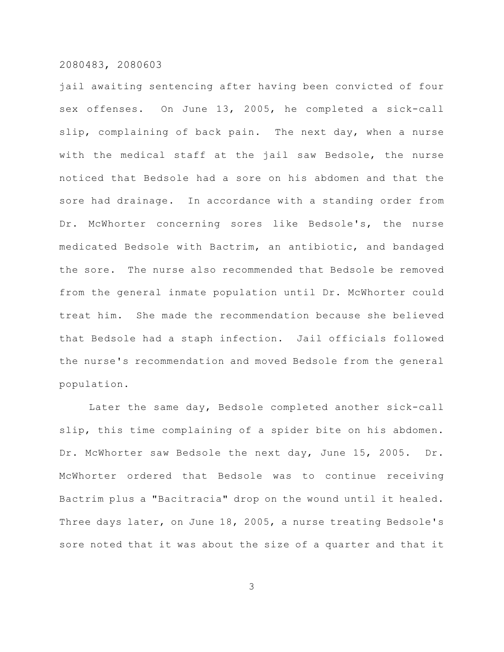jail awaiting sentencing after having been convicted of four sex offenses. On June 13, 2005, he completed a sick-call slip, complaining of back pain. The next day, when a nurse with the medical staff at the jail saw Bedsole, the nurse noticed that Bedsole had a sore on his abdomen and that the sore had drainage. In accordance with a standing order from Dr. McWhorter concerning sores like Bedsole's, the nurse medicated Bedsole with Bactrim, an antibiotic, and bandaged the sore. The nurse also recommended that Bedsole be removed from the general inmate population until Dr. McWhorter could treat him. She made the recommendation because she believed that Bedsole had a staph infection. Jail officials followed the nurse's recommendation and moved Bedsole from the general population.

Later the same day, Bedsole completed another sick-call slip, this time complaining of a spider bite on his abdomen. Dr. McWhorter saw Bedsole the next day, June 15, 2005. Dr. McWhorter ordered that Bedsole was to continue receiving Bactrim plus a "Bacitracia" drop on the wound until it healed. Three days later, on June 18, 2005, a nurse treating Bedsole's sore noted that it was about the size of a quarter and that it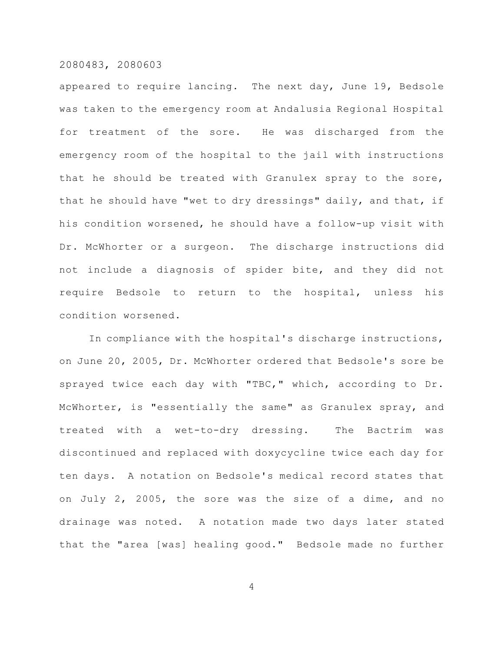appeared to require lancing. The next day, June 19, Bedsole was taken to the emergency room at Andalusia Regional Hospital for treatment of the sore. He was discharged from the emergency room of the hospital to the jail with instructions that he should be treated with Granulex spray to the sore, that he should have "wet to dry dressings" daily, and that, if his condition worsened, he should have a follow-up visit with Dr. McWhorter or a surgeon. The discharge instructions did not include a diagnosis of spider bite, and they did not require Bedsole to return to the hospital, unless his condition worsened.

In compliance with the hospital's discharge instructions, on June 20, 2005, Dr. McWhorter ordered that Bedsole's sore be sprayed twice each day with "TBC," which, according to Dr. McWhorter, is "essentially the same" as Granulex spray, and treated with a wet-to-dry dressing. The Bactrim was discontinued and replaced with doxycycline twice each day for ten days. A notation on Bedsole's medical record states that on July 2, 2005, the sore was the size of a dime, and no drainage was noted. A notation made two days later stated that the "area [was] healing good." Bedsole made no further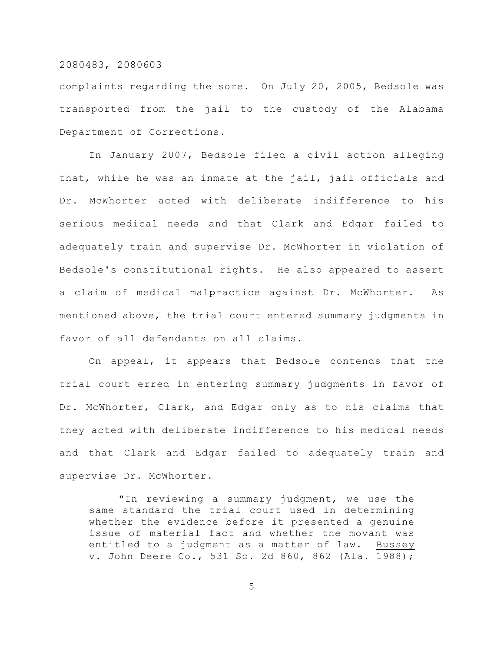complaints regarding the sore. On July 20, 2005, Bedsole was transported from the jail to the custody of the Alabama Department of Corrections.

In January 2007, Bedsole filed a civil action alleging that, while he was an inmate at the jail, jail officials and Dr. McWhorter acted with deliberate indifference to his serious medical needs and that Clark and Edgar failed to adequately train and supervise Dr. McWhorter in violation of Bedsole's constitutional rights. He also appeared to assert a claim of medical malpractice against Dr. McWhorter. As mentioned above, the trial court entered summary judgments in favor of all defendants on all claims.

On appeal, it appears that Bedsole contends that the trial court erred in entering summary judgments in favor of Dr. McWhorter, Clark, and Edgar only as to his claims that they acted with deliberate indifference to his medical needs and that Clark and Edgar failed to adequately train and supervise Dr. McWhorter.

"In reviewing a summary judgment, we use the same standard the trial court used in determining whether the evidence before it presented a genuine issue of material fact and whether the movant was entitled to a judgment as a matter of law. Bussey v. John Deere Co., 531 So. 2d 860, 862 (Ala. 1988);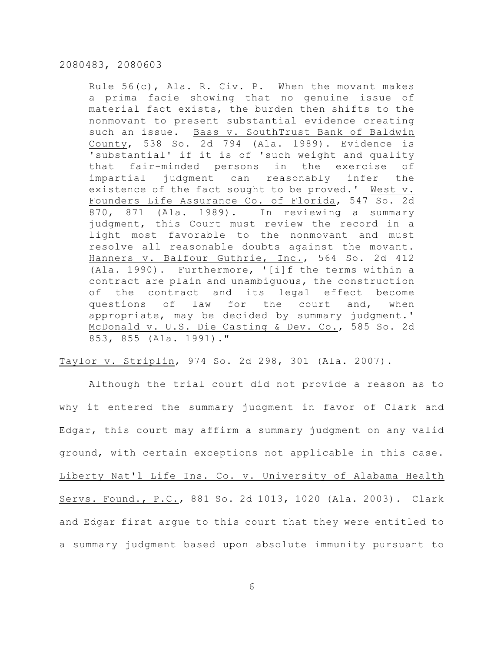Rule 56(c), Ala. R. Civ. P. When the movant makes a prima facie showing that no genuine issue of material fact exists, the burden then shifts to the nonmovant to present substantial evidence creating such an issue. Bass v. SouthTrust Bank of Baldwin County, 538 So. 2d 794 (Ala. 1989). Evidence is 'substantial' if it is of 'such weight and quality that fair-minded persons in the exercise of impartial judgment can reasonably infer the existence of the fact sought to be proved.' West v. Founders Life Assurance Co. of Florida, 547 So. 2d 870, 871 (Ala. 1989). In reviewing a summary judgment, this Court must review the record in a light most favorable to the nonmovant and must resolve all reasonable doubts against the movant. Hanners v. Balfour Guthrie, Inc., 564 So. 2d 412 (Ala. 1990). Furthermore, '[i]f the terms within a contract are plain and unambiguous, the construction of the contract and its legal effect become questions of law for the court and, when appropriate, may be decided by summary judgment.' McDonald v. U.S. Die Casting & Dev. Co., 585 So. 2d 853, 855 (Ala. 1991)."

Taylor v. Striplin, 974 So. 2d 298, 301 (Ala. 2007).

Although the trial court did not provide a reason as to why it entered the summary judgment in favor of Clark and Edgar, this court may affirm a summary judgment on any valid ground, with certain exceptions not applicable in this case. Liberty Nat'l Life Ins. Co. v. University of Alabama Health Servs. Found., P.C., 881 So. 2d 1013, 1020 (Ala. 2003). Clark and Edgar first argue to this court that they were entitled to a summary judgment based upon absolute immunity pursuant to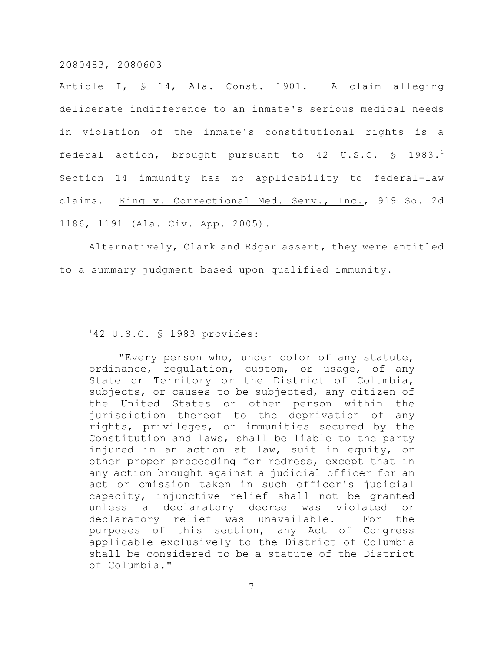Article I, § 14, Ala. Const. 1901. A claim alleging deliberate indifference to an inmate's serious medical needs in violation of the inmate's constitutional rights is a federal action, brought pursuant to 42 U.S.C.  $\text{\$}$  1983.<sup>1</sup> Section 14 immunity has no applicability to federal-law claims. King v. Correctional Med. Serv., Inc., 919 So. 2d 1186, 1191 (Ala. Civ. App. 2005).

Alternatively, Clark and Edgar assert, they were entitled to a summary judgment based upon qualified immunity.

# $142$  U.S.C. § 1983 provides:

"Every person who, under color of any statute, ordinance, regulation, custom, or usage, of any State or Territory or the District of Columbia, subjects, or causes to be subjected, any citizen of the United States or other person within the jurisdiction thereof to the deprivation of any rights, privileges, or immunities secured by the Constitution and laws, shall be liable to the party injured in an action at law, suit in equity, or other proper proceeding for redress, except that in any action brought against a judicial officer for an act or omission taken in such officer's judicial capacity, injunctive relief shall not be granted unless a declaratory decree was violated or declaratory relief was unavailable. For the purposes of this section, any Act of Congress applicable exclusively to the District of Columbia shall be considered to be a statute of the District of Columbia."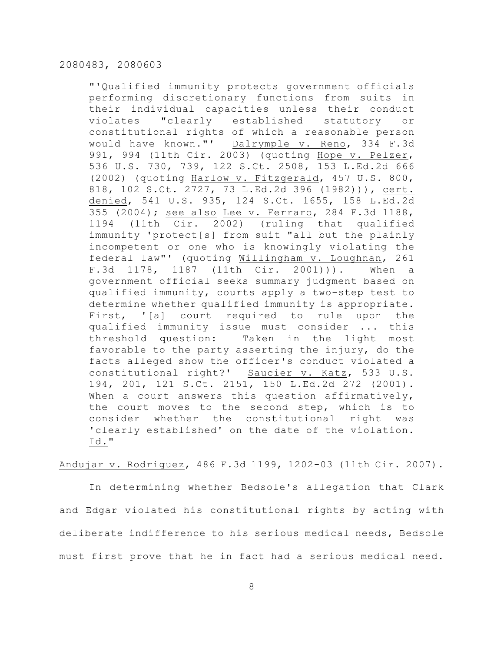"'Qualified immunity protects government officials performing discretionary functions from suits in their individual capacities unless their conduct violates "clearly established statutory or constitutional rights of which a reasonable person would have known."' Dalrymple v. Reno, 334 F.3d 991, 994 (11th Cir. 2003) (quoting Hope v. Pelzer, 536 U.S. 730, 739, 122 S.Ct. 2508, 153 L.Ed.2d 666 (2002) (quoting Harlow v. Fitzgerald, 457 U.S. 800, 818, 102 S.Ct. 2727, 73 L.Ed.2d 396 (1982))), cert. denied, 541 U.S. 935, 124 S.Ct. 1655, 158 L.Ed.2d 355 (2004); see also Lee v. Ferraro, 284 F.3d 1188, 1194 (11th Cir. 2002) (ruling that qualified immunity 'protect[s] from suit "all but the plainly incompetent or one who is knowingly violating the federal law"' (quoting Willingham v. Loughnan, 261 F.3d 1178, 1187 (11th Cir. 2001))). When a government official seeks summary judgment based on qualified immunity, courts apply a two-step test to determine whether qualified immunity is appropriate. First, '[a] court required to rule upon the qualified immunity issue must consider ... this threshold question: Taken in the light most favorable to the party asserting the injury, do the facts alleged show the officer's conduct violated a constitutional right?' Saucier v. Katz, 533 U.S. 194, 201, 121 S.Ct. 2151, 150 L.Ed.2d 272 (2001). When a court answers this question affirmatively, the court moves to the second step, which is to consider whether the constitutional right was 'clearly established' on the date of the violation. Id."

Andujar v. Rodriguez, 486 F.3d 1199, 1202-03 (11th Cir. 2007).

In determining whether Bedsole's allegation that Clark and Edgar violated his constitutional rights by acting with deliberate indifference to his serious medical needs, Bedsole must first prove that he in fact had a serious medical need.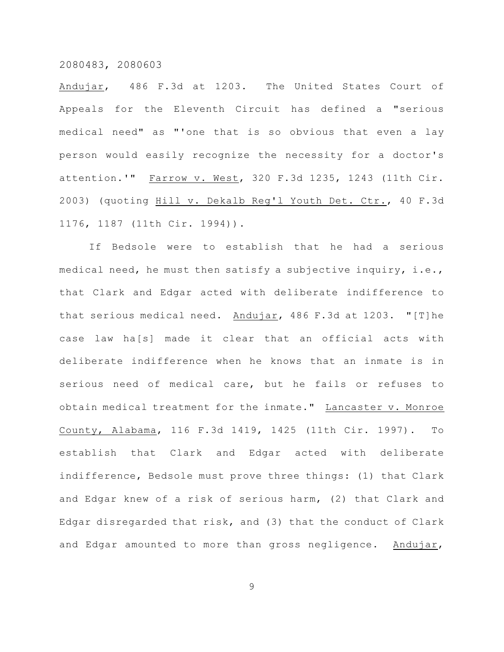Andujar, 486 F.3d at 1203. The United States Court of Appeals for the Eleventh Circuit has defined a "serious medical need" as "'one that is so obvious that even a lay person would easily recognize the necessity for a doctor's attention.'" Farrow v. West, 320 F.3d 1235, 1243 (11th Cir. 2003) (quoting Hill v. Dekalb Reg'l Youth Det. Ctr., 40 F.3d 1176, 1187 (11th Cir. 1994)).

If Bedsole were to establish that he had a serious medical need, he must then satisfy a subjective inquiry, i.e., that Clark and Edgar acted with deliberate indifference to that serious medical need. Andujar, 486 F.3d at 1203. "[T]he case law ha[s] made it clear that an official acts with deliberate indifference when he knows that an inmate is in serious need of medical care, but he fails or refuses to obtain medical treatment for the inmate." Lancaster v. Monroe County, Alabama, 116 F.3d 1419, 1425 (11th Cir. 1997). To establish that Clark and Edgar acted with deliberate indifference, Bedsole must prove three things: (1) that Clark and Edgar knew of a risk of serious harm, (2) that Clark and Edgar disregarded that risk, and (3) that the conduct of Clark and Edgar amounted to more than gross negligence. Andujar,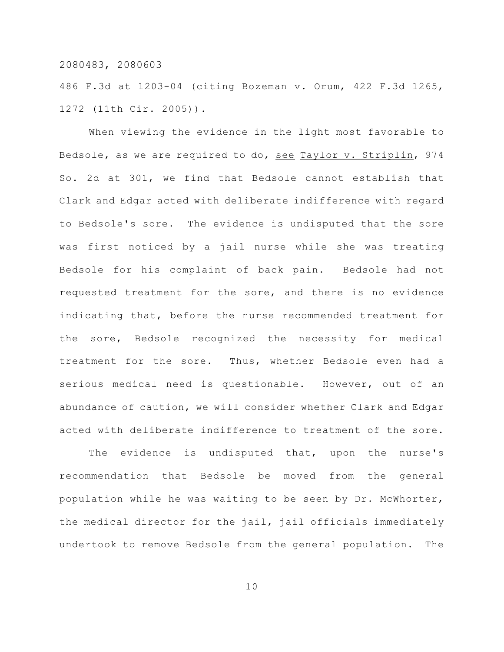486 F.3d at 1203-04 (citing Bozeman v. Orum, 422 F.3d 1265, 1272 (11th Cir. 2005)).

When viewing the evidence in the light most favorable to Bedsole, as we are required to do, see Taylor v. Striplin, 974 So. 2d at 301, we find that Bedsole cannot establish that Clark and Edgar acted with deliberate indifference with regard to Bedsole's sore. The evidence is undisputed that the sore was first noticed by a jail nurse while she was treating Bedsole for his complaint of back pain. Bedsole had not requested treatment for the sore, and there is no evidence indicating that, before the nurse recommended treatment for the sore, Bedsole recognized the necessity for medical treatment for the sore. Thus, whether Bedsole even had a serious medical need is questionable. However, out of an abundance of caution, we will consider whether Clark and Edgar acted with deliberate indifference to treatment of the sore.

The evidence is undisputed that, upon the nurse's recommendation that Bedsole be moved from the general population while he was waiting to be seen by Dr. McWhorter, the medical director for the jail, jail officials immediately undertook to remove Bedsole from the general population. The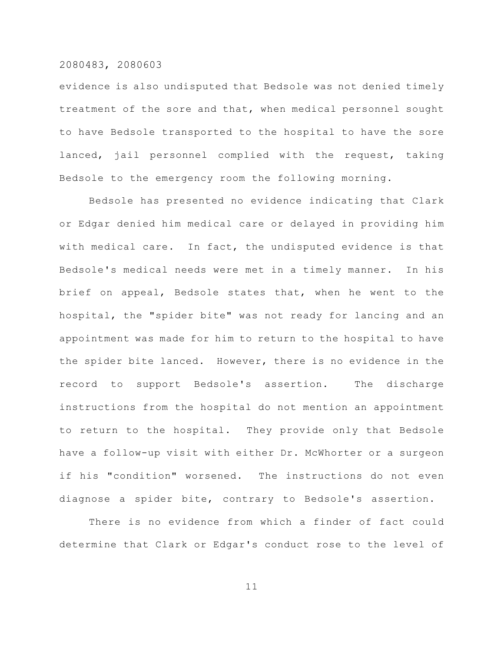evidence is also undisputed that Bedsole was not denied timely treatment of the sore and that, when medical personnel sought to have Bedsole transported to the hospital to have the sore lanced, jail personnel complied with the request, taking Bedsole to the emergency room the following morning.

Bedsole has presented no evidence indicating that Clark or Edgar denied him medical care or delayed in providing him with medical care. In fact, the undisputed evidence is that Bedsole's medical needs were met in a timely manner. In his brief on appeal, Bedsole states that, when he went to the hospital, the "spider bite" was not ready for lancing and an appointment was made for him to return to the hospital to have the spider bite lanced. However, there is no evidence in the record to support Bedsole's assertion. The discharge instructions from the hospital do not mention an appointment to return to the hospital. They provide only that Bedsole have a follow-up visit with either Dr. McWhorter or a surgeon if his "condition" worsened. The instructions do not even diagnose a spider bite, contrary to Bedsole's assertion.

There is no evidence from which a finder of fact could determine that Clark or Edgar's conduct rose to the level of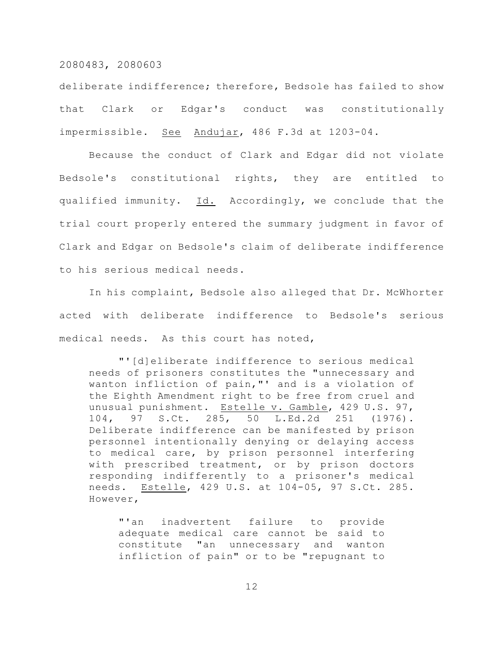deliberate indifference; therefore, Bedsole has failed to show that Clark or Edgar's conduct was constitutionally impermissible. See Andujar, 486 F.3d at 1203-04.

Because the conduct of Clark and Edgar did not violate Bedsole's constitutional rights, they are entitled to qualified immunity. Id. Accordingly, we conclude that the trial court properly entered the summary judgment in favor of Clark and Edgar on Bedsole's claim of deliberate indifference to his serious medical needs.

In his complaint, Bedsole also alleged that Dr. McWhorter acted with deliberate indifference to Bedsole's serious medical needs. As this court has noted,

"'[d]eliberate indifference to serious medical needs of prisoners constitutes the "unnecessary and wanton infliction of pain,"' and is a violation of the Eighth Amendment right to be free from cruel and unusual punishment. Estelle v. Gamble, 429 U.S. 97, 104, 97 S.Ct. 285, 50 L.Ed.2d 251 (1976). Deliberate indifference can be manifested by prison personnel intentionally denying or delaying access to medical care, by prison personnel interfering with prescribed treatment, or by prison doctors responding indifferently to a prisoner's medical needs. Estelle, 429 U.S. at 104-05, 97 S.Ct. 285. However,

"'an inadvertent failure to provide adequate medical care cannot be said to constitute "an unnecessary and wanton infliction of pain" or to be "repugnant to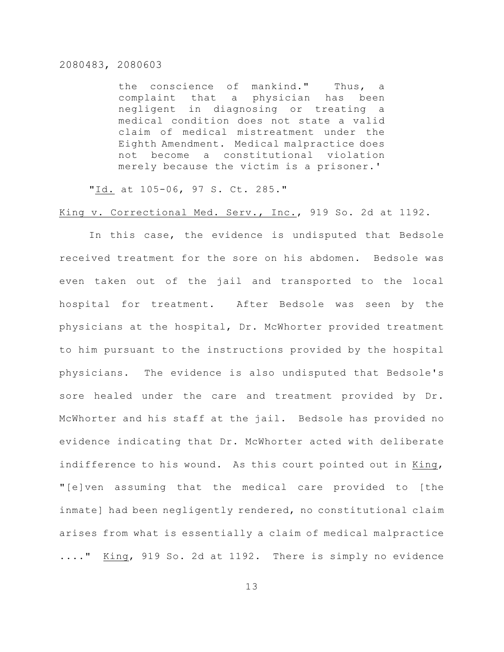the conscience of mankind." Thus, a complaint that a physician has been negligent in diagnosing or treating a medical condition does not state a valid claim of medical mistreatment under the Eighth Amendment. Medical malpractice does not become a constitutional violation merely because the victim is a prisoner.'

"Id. at 105-06, 97 S. Ct. 285."

# King v. Correctional Med. Serv., Inc., 919 So. 2d at 1192.

In this case, the evidence is undisputed that Bedsole received treatment for the sore on his abdomen. Bedsole was even taken out of the jail and transported to the local hospital for treatment. After Bedsole was seen by the physicians at the hospital, Dr. McWhorter provided treatment to him pursuant to the instructions provided by the hospital physicians. The evidence is also undisputed that Bedsole's sore healed under the care and treatment provided by Dr. McWhorter and his staff at the jail. Bedsole has provided no evidence indicating that Dr. McWhorter acted with deliberate indifference to his wound. As this court pointed out in King, "[e]ven assuming that the medical care provided to [the inmate] had been negligently rendered, no constitutional claim arises from what is essentially a claim of medical malpractice ...." King, 919 So. 2d at 1192. There is simply no evidence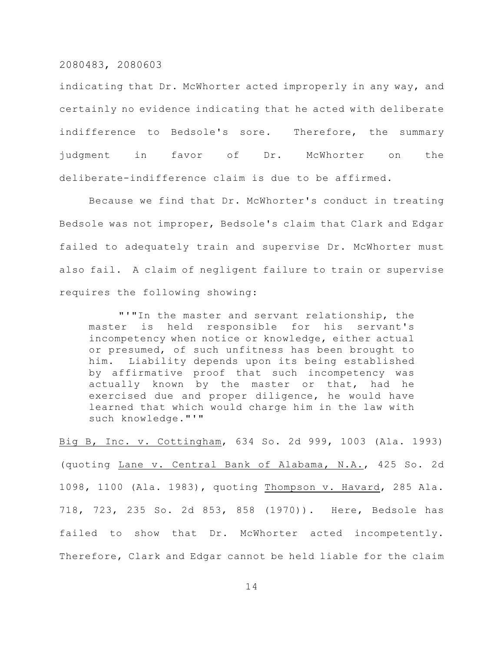indicating that Dr. McWhorter acted improperly in any way, and certainly no evidence indicating that he acted with deliberate indifference to Bedsole's sore. Therefore, the summary judgment in favor of Dr. McWhorter on the deliberate-indifference claim is due to be affirmed.

Because we find that Dr. McWhorter's conduct in treating Bedsole was not improper, Bedsole's claim that Clark and Edgar failed to adequately train and supervise Dr. McWhorter must also fail. A claim of negligent failure to train or supervise requires the following showing:

"'"In the master and servant relationship, the master is held responsible for his servant's incompetency when notice or knowledge, either actual or presumed, of such unfitness has been brought to him. Liability depends upon its being established by affirmative proof that such incompetency was actually known by the master or that, had he exercised due and proper diligence, he would have learned that which would charge him in the law with such knowledge."'"

Big B, Inc. v. Cottingham, 634 So. 2d 999, 1003 (Ala. 1993) (quoting Lane v. Central Bank of Alabama, N.A., 425 So. 2d 1098, 1100 (Ala. 1983), quoting Thompson v. Havard, 285 Ala. 718, 723, 235 So. 2d 853, 858 (1970)). Here, Bedsole has failed to show that Dr. McWhorter acted incompetently. Therefore, Clark and Edgar cannot be held liable for the claim